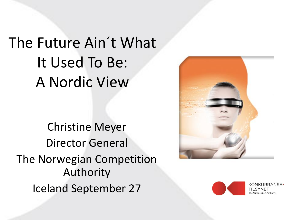The Future Ain´t What It Used To Be: A Nordic View

Christine Meyer Director General The Norwegian Competition Authority Iceland September 27



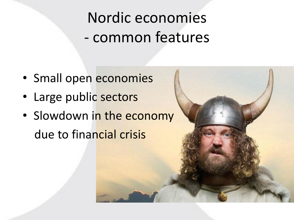## Nordic economies - common features

- Small open economies
- Large public sectors
- Slowdown in the economy due to financial crisis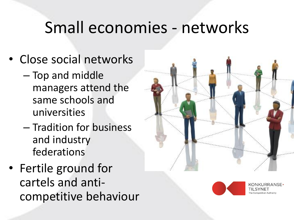## Small economies - networks

- Close social networks
	- Top and middle managers attend the same schools and universities
	- Tradition for business and industry federations
- Fertile ground for cartels and anticompetitive behaviour





**JKURRANSE**.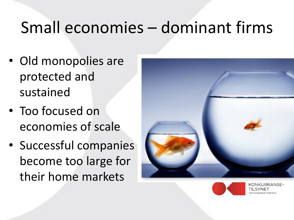## Small economies – dominant firms

- Old monopolies are protected and sustained
- Too focused on economies of scale
- Successful companies become too large for their home markets





**JKURRANSE**.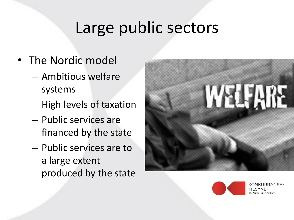## Large public sectors

- The Nordic model
	- Ambitious welfare systems
	- High levels of taxation
	- Public services are financed by the state
	- Public services are to a large extent produced by the state





JKURRANSF.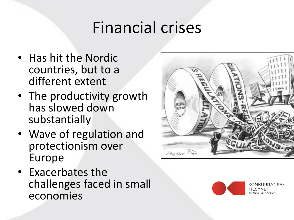### Financial crises

- Has hit the Nordic countries, but to a different extent
- The productivity growth has slowed down substantially
- Wave of regulation and protectionism over Europe
- Exacerbates the challenges faced in small economies



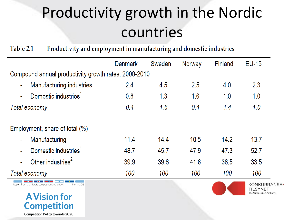## Productivity growth in the Nordic countries

#### Productivity and employment in manufacturing and domestic industries Table 2.1

|                                                              | <b>Denmark</b> | Sweden | Norway | Finland | $EU-15$ |
|--------------------------------------------------------------|----------------|--------|--------|---------|---------|
| Compound annual productivity growth rates, 2000-2010         |                |        |        |         |         |
| Manufacturing industries<br>$\blacksquare$                   | 2.4            | 4.5    | 2.5    | 4.0     | 2.3     |
| Domestic industries <sup>1</sup><br>$\overline{\phantom{a}}$ | 0.8            | 1.3    | 1.6    | 1.0     | 1.0     |
| Total economy                                                | 0.4            | 1.6    | 0.4    | 1.4     | 1.0     |
| Employment, share of total (%)                               |                |        |        |         |         |
| Manufacturing<br>۰                                           | 11.4           | 14.4   | 10.5   | 14.2    | 13.7    |
| Domestic industries <sup>1</sup><br>$\blacksquare$           | 48.7           | 45.7   | 47.9   | 47.3    | 52.7    |
| Other industries <sup>2</sup><br>ä,                          | 39.9           | 39.8   | 41.6   | 38.5    | 33.5    |
| Total economy                                                | 100            | 100    | 100    | 100     | 100     |



No. 1/2013

Report from the Nordic competition authorities

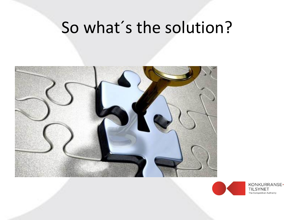#### So what´s the solution?





KONKURRANSE· **TILSYNET** The Competition Authority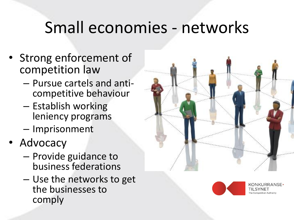## Small economies - networks

- Strong enforcement of competition law
	- Pursue cartels and anticompetitive behaviour
	- Establish working leniency programs
	- Imprisonment
- Advocacy
	- Provide guidance to business federations
	- Use the networks to get the businesses to comply



ONKURRANSE.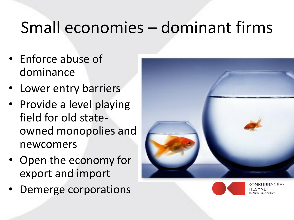# Small economies – dominant firms

- Enforce abuse of dominance
- Lower entry barriers
- Provide a level playing field for old stateowned monopolies and newcomers
- Open the economy for export and import
- Demerge corporations





NKURRANSF.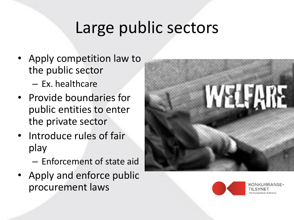# Large public sectors

- Apply competition law to the public sector
	- Ex. healthcare
- Provide boundaries for public entities to enter the private sector
- Introduce rules of fair play
	- Enforcement of state aid
- Apply and enforce public procurement laws





**JKURRANSE**.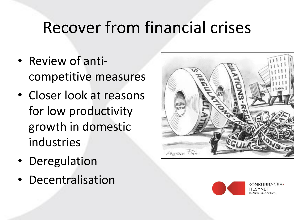## Recover from financial crises

- Review of anticompetitive measures
- Closer look at reasons for low productivity growth in domestic industries
- Deregulation
- Decentralisation



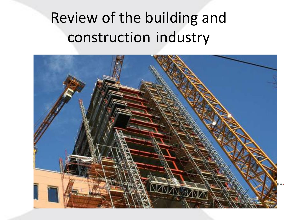## Review of the building and construction industry